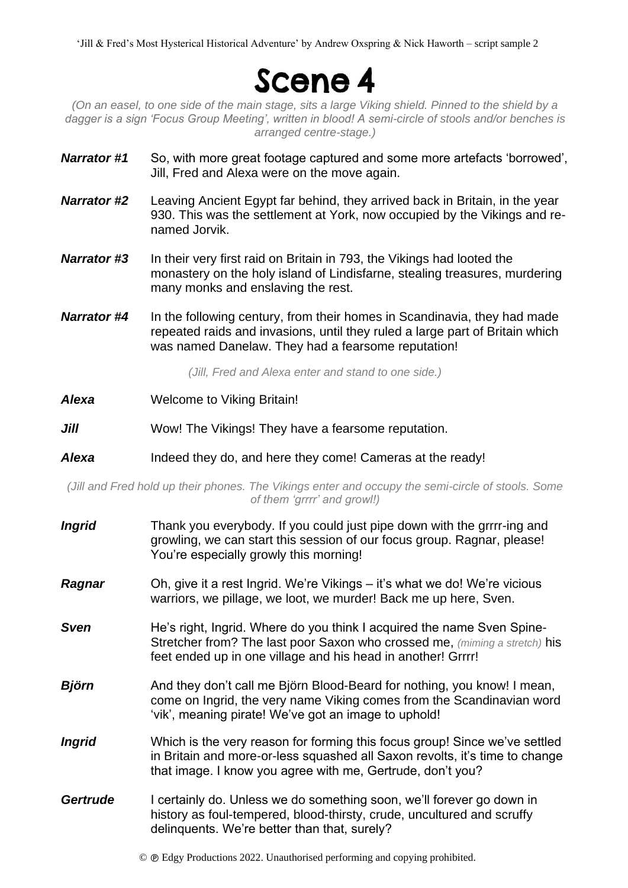'Jill & Fred's Most Hysterical Historical Adventure' by Andrew Oxspring & Nick Haworth – script sample 2

## Scene 4

*(On an easel, to one side of the main stage, sits a large Viking shield. Pinned to the shield by a dagger is a sign 'Focus Group Meeting', written in blood! A semi-circle of stools and/or benches is arranged centre-stage.)*

- *Narrator #1* So, with more great footage captured and some more artefacts 'borrowed', Jill, Fred and Alexa were on the move again.
- *Narrator #2* Leaving Ancient Egypt far behind, they arrived back in Britain, in the year 930. This was the settlement at York, now occupied by the Vikings and renamed Jorvik.
- *Narrator #3* In their very first raid on Britain in 793, the Vikings had looted the monastery on the holy island of Lindisfarne, stealing treasures, murdering many monks and enslaving the rest.
- **Narrator #4** In the following century, from their homes in Scandinavia, they had made repeated raids and invasions, until they ruled a large part of Britain which was named Danelaw. They had a fearsome reputation!

*(Jill, Fred and Alexa enter and stand to one side.)*

- *Alexa* Welcome to Viking Britain!
- *Jill* Wow! The Vikings! They have a fearsome reputation.
- Alexa Indeed they do, and here they come! Cameras at the ready!

*(Jill and Fred hold up their phones. The Vikings enter and occupy the semi-circle of stools. Some of them 'grrrr' and growl!)* 

- *Ingrid* Thank you everybody. If you could just pipe down with the griff-ing and growling, we can start this session of our focus group. Ragnar, please! You're especially growly this morning!
- *Ragnar* Oh, give it a rest Ingrid. We're Vikings it's what we do! We're vicious warriors, we pillage, we loot, we murder! Back me up here, Sven.
- **Sven** He's right, Ingrid. Where do you think I acquired the name Sven Spine-Stretcher from? The last poor Saxon who crossed me, *(miming a stretch)* his feet ended up in one village and his head in another! Grrrr!
- *Björn* And they don't call me Björn Blood-Beard for nothing, you know! I mean, come on Ingrid, the very name Viking comes from the Scandinavian word 'vik', meaning pirate! We've got an image to uphold!
- *Ingrid* Which is the very reason for forming this focus group! Since we've settled in Britain and more-or-less squashed all Saxon revolts, it's time to change that image. I know you agree with me, Gertrude, don't you?
- *Gertrude* I certainly do. Unless we do something soon, we'll forever go down in history as foul-tempered, blood-thirsty, crude, uncultured and scruffy delinquents. We're better than that, surely?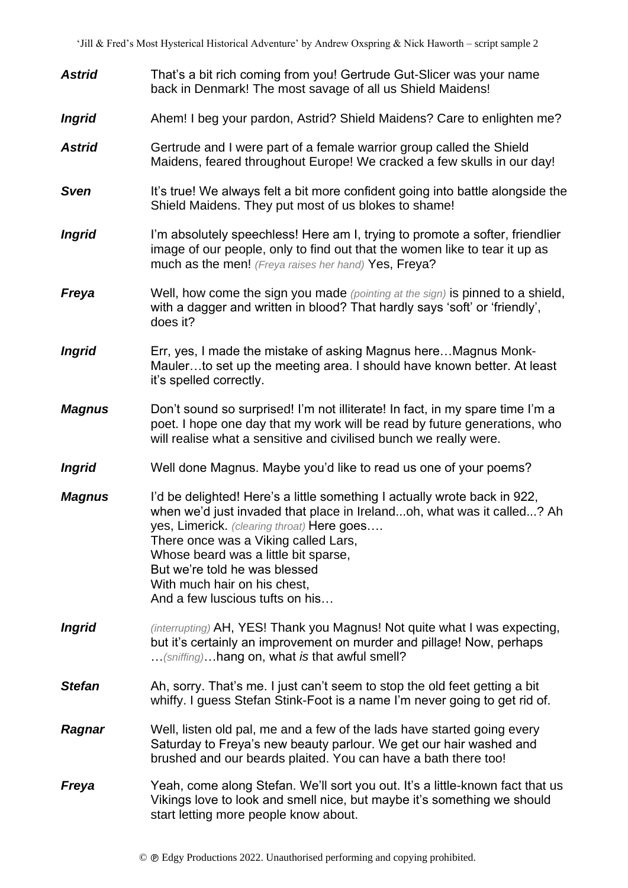| <b>Astrid</b> | That's a bit rich coming from you! Gertrude Gut-Slicer was your name<br>back in Denmark! The most savage of all us Shield Maidens!                                                                                                                                                                                                                                                    |
|---------------|---------------------------------------------------------------------------------------------------------------------------------------------------------------------------------------------------------------------------------------------------------------------------------------------------------------------------------------------------------------------------------------|
| <b>Ingrid</b> | Ahem! I beg your pardon, Astrid? Shield Maidens? Care to enlighten me?                                                                                                                                                                                                                                                                                                                |
| <b>Astrid</b> | Gertrude and I were part of a female warrior group called the Shield<br>Maidens, feared throughout Europe! We cracked a few skulls in our day!                                                                                                                                                                                                                                        |
| <b>Sven</b>   | It's true! We always felt a bit more confident going into battle alongside the<br>Shield Maidens. They put most of us blokes to shame!                                                                                                                                                                                                                                                |
| <b>Ingrid</b> | I'm absolutely speechless! Here am I, trying to promote a softer, friendlier<br>image of our people, only to find out that the women like to tear it up as<br>much as the men! (Freya raises her hand) Yes, Freya?                                                                                                                                                                    |
| Freya         | Well, how come the sign you made (pointing at the sign) is pinned to a shield,<br>with a dagger and written in blood? That hardly says 'soft' or 'friendly',<br>does it?                                                                                                                                                                                                              |
| <b>Ingrid</b> | Err, yes, I made the mistake of asking Magnus here Magnus Monk-<br>Maulerto set up the meeting area. I should have known better. At least<br>it's spelled correctly.                                                                                                                                                                                                                  |
| <b>Magnus</b> | Don't sound so surprised! I'm not illiterate! In fact, in my spare time I'm a<br>poet. I hope one day that my work will be read by future generations, who<br>will realise what a sensitive and civilised bunch we really were.                                                                                                                                                       |
| <b>Ingrid</b> | Well done Magnus. Maybe you'd like to read us one of your poems?                                                                                                                                                                                                                                                                                                                      |
| <b>Magnus</b> | I'd be delighted! Here's a little something I actually wrote back in 922,<br>when we'd just invaded that place in Irelandoh, what was it called? Ah<br>yes, Limerick. (clearing throat) Here goes<br>There once was a Viking called Lars,<br>Whose beard was a little bit sparse,<br>But we're told he was blessed<br>With much hair on his chest,<br>And a few luscious tufts on his |
| <b>Ingrid</b> | (interrupting) AH, YES! Thank you Magnus! Not quite what I was expecting,<br>but it's certainly an improvement on murder and pillage! Now, perhaps<br>(sniffing) hang on, what is that awful smell?                                                                                                                                                                                   |
| <b>Stefan</b> | Ah, sorry. That's me. I just can't seem to stop the old feet getting a bit<br>whiffy. I guess Stefan Stink-Foot is a name I'm never going to get rid of.                                                                                                                                                                                                                              |
| Ragnar        | Well, listen old pal, me and a few of the lads have started going every<br>Saturday to Freya's new beauty parlour. We get our hair washed and<br>brushed and our beards plaited. You can have a bath there too!                                                                                                                                                                       |
| Freya         | Yeah, come along Stefan. We'll sort you out. It's a little-known fact that us<br>Vikings love to look and smell nice, but maybe it's something we should<br>start letting more people know about.                                                                                                                                                                                     |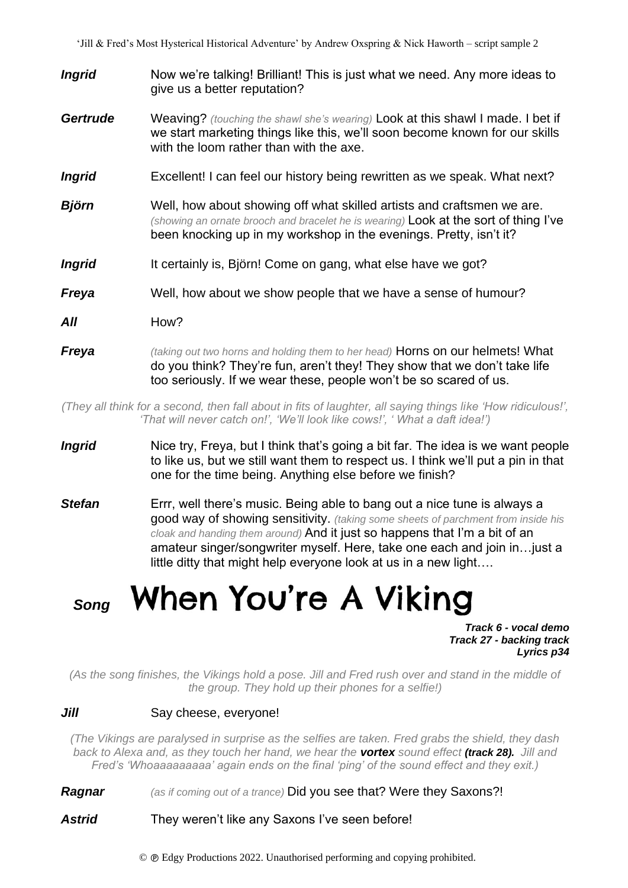- **Ingrid** Now we're talking! Brilliant! This is just what we need. Any more ideas to give us a better reputation?
- *Gertrude* Weaving? *(touching the shawl she's wearing)* Look at this shawl I made. I bet if we start marketing things like this, we'll soon become known for our skills with the loom rather than with the axe.
- *Ingrid* Excellent! I can feel our history being rewritten as we speak. What next?
- *Björn* Well, how about showing off what skilled artists and craftsmen we are. *(showing an ornate brooch and bracelet he is wearing)* Look at the sort of thing I've been knocking up in my workshop in the evenings. Pretty, isn't it?
- **Ingrid** It certainly is, Björn! Come on gang, what else have we got?
- **Freya** Well, how about we show people that we have a sense of humour?
- *All* How?
- *Freya (taking out two horns and holding them to her head)* Horns on our helmets! What do you think? They're fun, aren't they! They show that we don't take life too seriously. If we wear these, people won't be so scared of us.

*(They all think for a second, then fall about in fits of laughter, all saying things like 'How ridiculous!', 'That will never catch on!', 'We'll look like cows!', ' What a daft idea!')*

- *Ingrid* Nice try, Freya, but I think that's going a bit far. The idea is we want people to like us, but we still want them to respect us. I think we'll put a pin in that one for the time being. Anything else before we finish?
- **Stefan** Errr, well there's music. Being able to bang out a nice tune is always a good way of showing sensitivity. *(taking some sheets of parchment from inside his cloak and handing them around)* And it just so happens that I'm a bit of an amateur singer/songwriter myself. Here, take one each and join in…just a little ditty that might help everyone look at us in a new light….

# *Song* When You're A Viking

*Track 6 - vocal demo Track 27 - backing track Lyrics p34*

*(As the song finishes, the Vikings hold a pose. Jill and Fred rush over and stand in the middle of the group. They hold up their phones for a selfie!)*

#### *Jill* Say cheese, everyone!

*(The Vikings are paralysed in surprise as the selfies are taken. Fred grabs the shield, they dash back to Alexa and, as they touch her hand, we hear the vortex sound effect (track 28). Jill and Fred's 'Whoaaaaaaaaa' again ends on the final 'ping' of the sound effect and they exit.)*

*Ragnar (as if coming out of a trance)* Did you see that? Were they Saxons?!

#### Astrid They weren't like any Saxons I've seen before!

© Edgy Productions 2022. Unauthorised performing and copying prohibited.